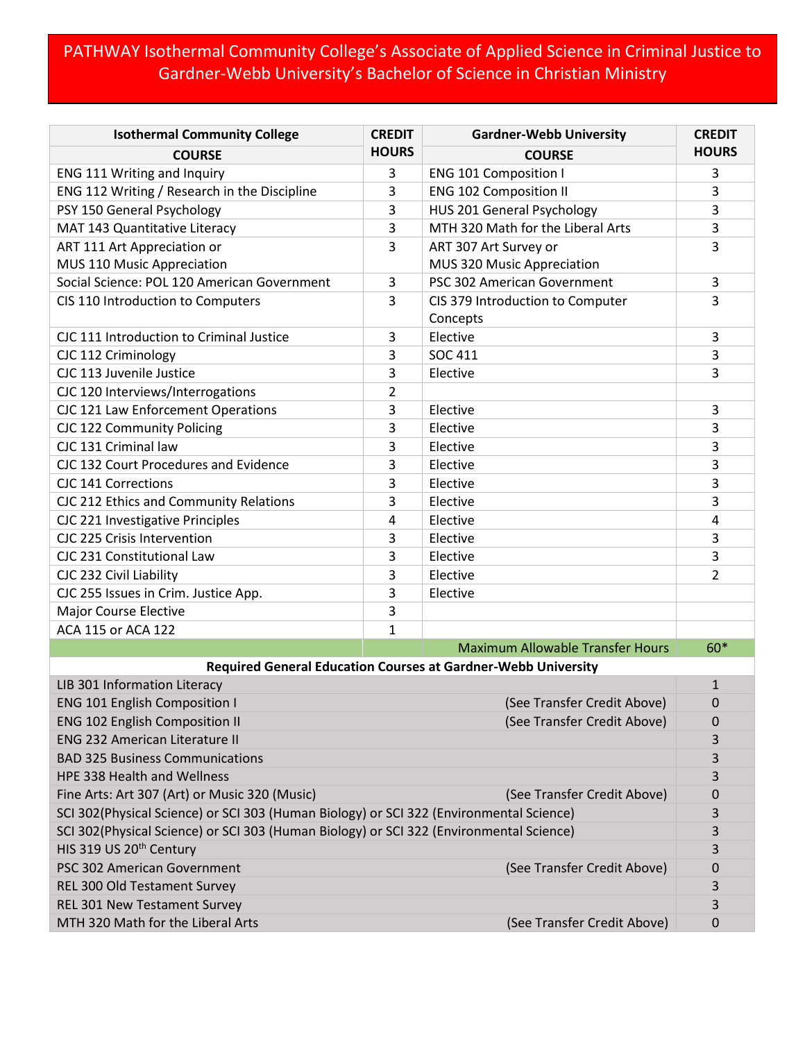## PATHWAY Isothermal Community College's Associate of Applied Science in Criminal Justice to Gardner-Webb University's Bachelor of Science in Christian Ministry

| <b>Isothermal Community College</b>                                                     | <b>CREDIT</b>  | <b>Gardner-Webb University</b>               | <b>CREDIT</b> |
|-----------------------------------------------------------------------------------------|----------------|----------------------------------------------|---------------|
| <b>COURSE</b>                                                                           | <b>HOURS</b>   | <b>COURSE</b>                                | <b>HOURS</b>  |
| ENG 111 Writing and Inquiry                                                             | 3              | <b>ENG 101 Composition I</b>                 | 3             |
| ENG 112 Writing / Research in the Discipline                                            | 3              | <b>ENG 102 Composition II</b>                | 3             |
| PSY 150 General Psychology                                                              | 3              | HUS 201 General Psychology                   | 3             |
| MAT 143 Quantitative Literacy                                                           | 3              | MTH 320 Math for the Liberal Arts            | 3             |
| ART 111 Art Appreciation or                                                             | 3              | ART 307 Art Survey or                        | 3             |
| MUS 110 Music Appreciation                                                              |                | MUS 320 Music Appreciation                   |               |
| Social Science: POL 120 American Government                                             | 3              | PSC 302 American Government                  | 3             |
| CIS 110 Introduction to Computers                                                       | 3              | CIS 379 Introduction to Computer<br>Concepts | 3             |
| CJC 111 Introduction to Criminal Justice                                                | 3              | Elective                                     | 3             |
| CJC 112 Criminology                                                                     | 3              | <b>SOC 411</b>                               | 3             |
| CJC 113 Juvenile Justice                                                                | 3              | Elective                                     | 3             |
| CJC 120 Interviews/Interrogations                                                       | $\overline{2}$ |                                              |               |
| CJC 121 Law Enforcement Operations                                                      | 3              | Elective                                     | 3             |
| CJC 122 Community Policing                                                              | 3              | Elective                                     | 3             |
| CJC 131 Criminal law                                                                    | 3              | Elective                                     | 3             |
| CJC 132 Court Procedures and Evidence                                                   | 3              | Elective                                     | 3             |
| <b>CJC 141 Corrections</b>                                                              | 3              | Elective                                     | 3             |
| CJC 212 Ethics and Community Relations                                                  | 3              | Elective                                     | 3             |
| CJC 221 Investigative Principles                                                        | 4              | Elective                                     | 4             |
| CJC 225 Crisis Intervention                                                             | 3              | Elective                                     | 3             |
| CJC 231 Constitutional Law                                                              | 3              | Elective                                     | 3             |
| CJC 232 Civil Liability                                                                 | 3              | Elective                                     | 2             |
| CJC 255 Issues in Crim. Justice App.                                                    | 3              | Elective                                     |               |
| <b>Major Course Elective</b>                                                            | 3              |                                              |               |
| ACA 115 or ACA 122                                                                      | 1              |                                              |               |
|                                                                                         |                | <b>Maximum Allowable Transfer Hours</b>      | $60*$         |
| <b>Required General Education Courses at Gardner-Webb University</b>                    |                |                                              |               |
| LIB 301 Information Literacy<br>$\mathbf{1}$                                            |                |                                              |               |
| <b>ENG 101 English Composition I</b>                                                    |                | (See Transfer Credit Above)                  | $\mathbf 0$   |
| (See Transfer Credit Above)<br><b>ENG 102 English Composition II</b>                    |                |                                              | 0             |
| <b>ENG 232 American Literature II</b>                                                   |                |                                              | 3             |
| <b>BAD 325 Business Communications</b>                                                  |                |                                              | 3             |
| <b>HPE 338 Health and Wellness</b>                                                      |                |                                              | 3             |
| Fine Arts: Art 307 (Art) or Music 320 (Music)<br>(See Transfer Credit Above)            |                |                                              | 0             |
| SCI 302(Physical Science) or SCI 303 (Human Biology) or SCI 322 (Environmental Science) |                |                                              | 3             |
| SCI 302(Physical Science) or SCI 303 (Human Biology) or SCI 322 (Environmental Science) |                |                                              | 3             |
| HIS 319 US 20 <sup>th</sup> Century                                                     |                |                                              | 3             |
| PSC 302 American Government                                                             |                | (See Transfer Credit Above)                  | $\mathbf 0$   |
| REL 300 Old Testament Survey                                                            |                |                                              | 3             |
| REL 301 New Testament Survey                                                            |                |                                              | 3             |
| MTH 320 Math for the Liberal Arts                                                       |                | (See Transfer Credit Above)                  | 0             |